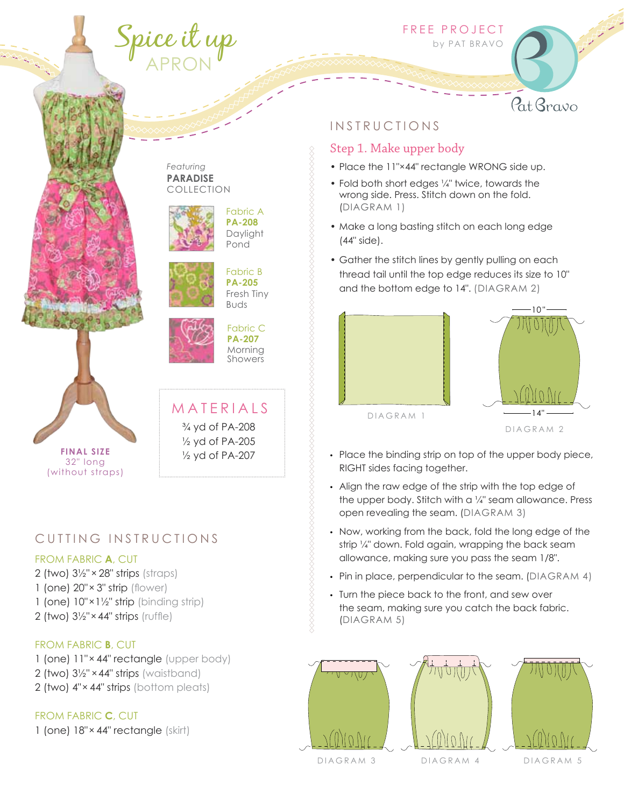# Spice it up APRON

FREE PROJECT

by PAT BRAVO

#### *Featuring* **PARADISE**  COLLECTION





Fabric B **PA-205** Fresh Tiny Buds

Fabric A **PA-208 Daylight** Pond



M A T E R I A L S

¾ yd of PA-208 ½ yd of PA-205 ½ yd of PA-207

Fabric C **PA-207** Morning Showers



## CUTTING INSTRUCTIONS

#### FROM FABRIC **A**, CUT

- 2 (two) 3½" × 28" strips (straps) 1 (one) 20"× 3" strip (flower) 1 (one) 10"×1½" strip (binding strip)
- 2 (two) 3½"×44" strips (ruffle)

#### FROM FABRIC **B**, CUT

1 (one) 11"× 44" rectangle (upper body) 2 (two) 3½" ×44" strips (waistband) 2 (two) 4"× 44" strips (bottom pleats)

#### FROM FABRIC **C**, CUT

1 (one) 18"× 44" rectangle (skirt)

## **INSTRUCTIONS**

#### Step 1. Make upper body

- Place the 11"×44" rectangle WRONG side up.
- Fold both short edges ¼" twice, towards the wrong side. Press. Stitch down on the fold. (DIAGRAM 1)
- Make a long basting stitch on each long edge (44" side).
- Gather the stitch lines by gently pulling on each thread tail until the top edge reduces its size to 10" and the bottom edge to 14". (DIAGRAM 2)





Pat Bravo

DIAGRAM<sub>1</sub>

DIAGRAM<sub>2</sub>

- Place the binding strip on top of the upper body piece, RIGHT sides facing together.
- Align the raw edge of the strip with the top edge of the upper body. Stitch with a 1/4" seam allowance. Press open revealing the seam. (DIAGRAM 3)
- Now, working from the back, fold the long edge of the strip ¼" down. Fold again, wrapping the back seam allowance, making sure you pass the seam 1/8".
- Pin in place, perpendicular to the seam. (DIAGRAM 4)
- Turn the piece back to the front, and sew over the seam, making sure you catch the back fabric. (DIAGRAM 5)

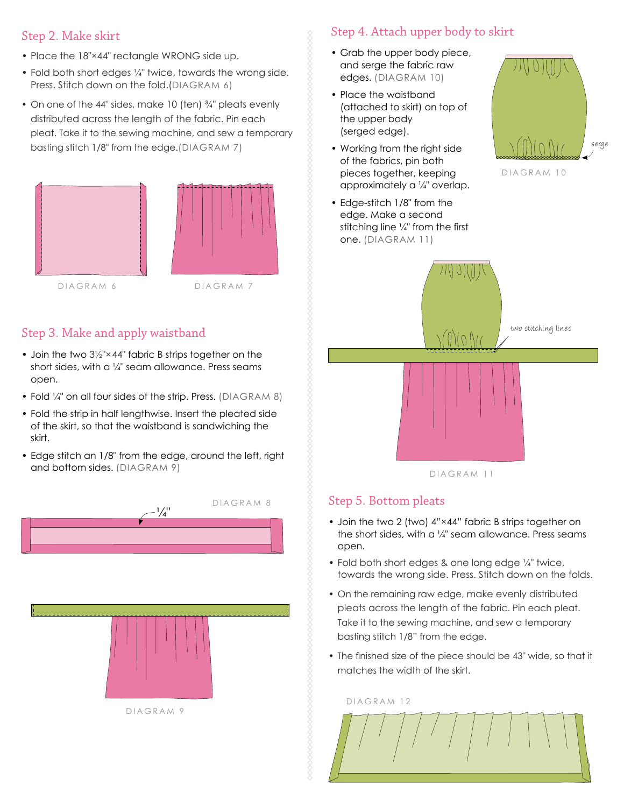## Step 2. Make skirt

- Place the 18"×44" rectangle WRONG side up.
- Fold both short edges ¼" twice, towards the wrong side. Press. Stitch down on the fold.(DIAGRAM 6)
- On one of the 44" sides, make 10 (ten) <sup>3</sup>/4" pleats evenly distributed across the length of the fabric. Pin each pleat. Take it to the sewing machine, and sew a temporary basting stitch 1/8" from the edge.(DIAGRAM 7)





Step 3. Make and apply waistband

- Join the two  $3\frac{1}{2}$ "×44" fabric B strips together on the short sides, with a 1/4" seam allowance. Press seams open.
- Fold 1/4" on all four sides of the strip. Press. (DIAGRAM 8)
- Fold the strip in half lengthwise. Insert the pleated side of the skirt, so that the waistband is sandwiching the skirt.
- Edge stitch an 1/8" from the edge, around the left, right and bottom sides. (DIAGRAM 9)



## Step 4. Attach upper body to skirt

- Grab the upper body piece, and serge the fabric raw edges. (DIAGRAM 10)
- Place the waistband (attached to skirt) on top of the upper body (serged edge).
- Working from the right side of the fabrics, pin both pieces together, keeping approximately a ¼" overlap.
- Edge-stitch 1/8" from the edge. Make a second stitching line ¼" from the first one. (DIAGRAM 11)



DIAGRAM 10



## Step 5. Bottom pleats

- Join the two 2 (two) 4"×44" fabric B strips together on the short sides, with a  $\frac{1}{4}$ " seam allowance. Press seams open.
- Fold both short edges & one long edge 1/4" twice, towards the wrong side. Press. Stitch down on the folds.
- On the remaining raw edge, make evenly distributed pleats across the length of the fabric. Pin each pleat. Take it to the sewing machine, and sew a temporary basting stitch 1/8" from the edge.
- The finished size of the piece should be 43" wide, so that it matches the width of the skirt.